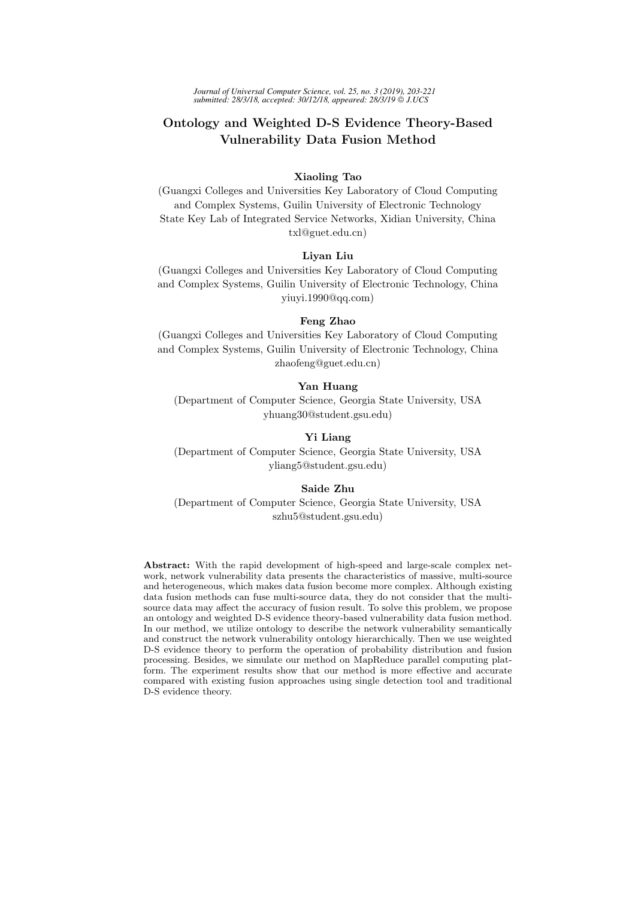# Ontology and Weighted D-S Evidence Theory-Based Vulnerability Data Fusion Method

## Xiaoling Tao

(Guangxi Colleges and Universities Key Laboratory of Cloud Computing and Complex Systems, Guilin University of Electronic Technology State Key Lab of Integrated Service Networks, Xidian University, China txl@guet.edu.cn)

#### Liyan Liu

(Guangxi Colleges and Universities Key Laboratory of Cloud Computing and Complex Systems, Guilin University of Electronic Technology, China yiuyi.1990@qq.com)

# Feng Zhao

(Guangxi Colleges and Universities Key Laboratory of Cloud Computing and Complex Systems, Guilin University of Electronic Technology, China zhaofeng@guet.edu.cn)

## Yan Huang

(Department of Computer Science, Georgia State University, USA yhuang30@student.gsu.edu)

## Yi Liang

(Department of Computer Science, Georgia State University, USA yliang5@student.gsu.edu)

## Saide Zhu

(Department of Computer Science, Georgia State University, USA szhu5@student.gsu.edu)

Abstract: With the rapid development of high-speed and large-scale complex network, network vulnerability data presents the characteristics of massive, multi-source and heterogeneous, which makes data fusion become more complex. Although existing data fusion methods can fuse multi-source data, they do not consider that the multisource data may affect the accuracy of fusion result. To solve this problem, we propose an ontology and weighted D-S evidence theory-based vulnerability data fusion method. In our method, we utilize ontology to describe the network vulnerability semantically and construct the network vulnerability ontology hierarchically. Then we use weighted D-S evidence theory to perform the operation of probability distribution and fusion processing. Besides, we simulate our method on MapReduce parallel computing platform. The experiment results show that our method is more effective and accurate compared with existing fusion approaches using single detection tool and traditional D-S evidence theory.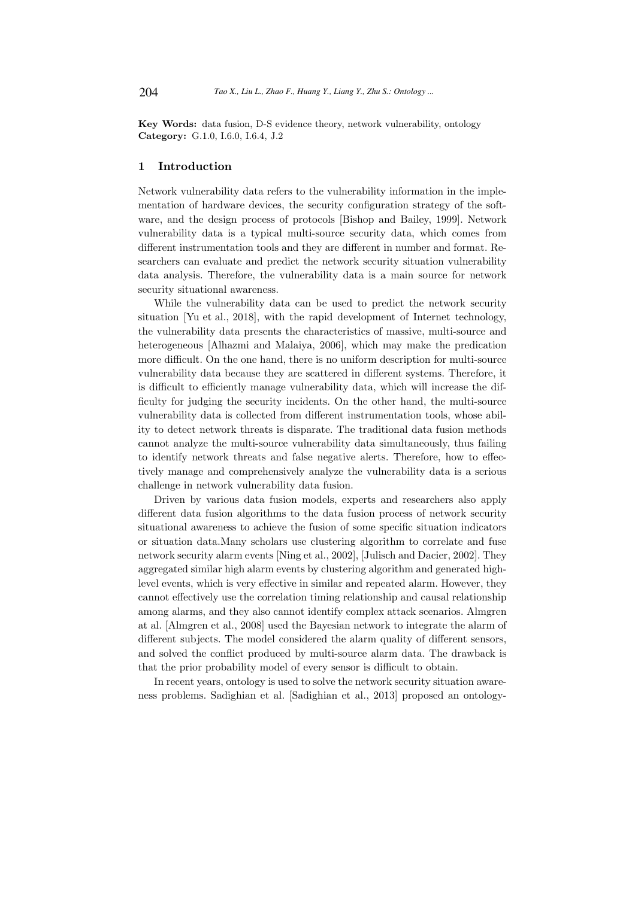Key Words: data fusion, D-S evidence theory, network vulnerability, ontology Category: G.1.0, I.6.0, I.6.4, J.2

#### 1 Introduction

Network vulnerability data refers to the vulnerability information in the implementation of hardware devices, the security configuration strategy of the software, and the design process of protocols [Bishop and Bailey, 1999]. Network vulnerability data is a typical multi-source security data, which comes from different instrumentation tools and they are different in number and format. Researchers can evaluate and predict the network security situation vulnerability data analysis. Therefore, the vulnerability data is a main source for network security situational awareness.

While the vulnerability data can be used to predict the network security situation [Yu et al., 2018], with the rapid development of Internet technology, the vulnerability data presents the characteristics of massive, multi-source and heterogeneous [Alhazmi and Malaiya, 2006], which may make the predication more difficult. On the one hand, there is no uniform description for multi-source vulnerability data because they are scattered in different systems. Therefore, it is difficult to efficiently manage vulnerability data, which will increase the difficulty for judging the security incidents. On the other hand, the multi-source vulnerability data is collected from different instrumentation tools, whose ability to detect network threats is disparate. The traditional data fusion methods cannot analyze the multi-source vulnerability data simultaneously, thus failing to identify network threats and false negative alerts. Therefore, how to effectively manage and comprehensively analyze the vulnerability data is a serious challenge in network vulnerability data fusion.

Driven by various data fusion models, experts and researchers also apply different data fusion algorithms to the data fusion process of network security situational awareness to achieve the fusion of some specific situation indicators or situation data.Many scholars use clustering algorithm to correlate and fuse network security alarm events [Ning et al., 2002], [Julisch and Dacier, 2002]. They aggregated similar high alarm events by clustering algorithm and generated highlevel events, which is very effective in similar and repeated alarm. However, they cannot effectively use the correlation timing relationship and causal relationship among alarms, and they also cannot identify complex attack scenarios. Almgren at al. [Almgren et al., 2008] used the Bayesian network to integrate the alarm of different subjects. The model considered the alarm quality of different sensors, and solved the conflict produced by multi-source alarm data. The drawback is that the prior probability model of every sensor is difficult to obtain.

In recent years, ontology is used to solve the network security situation awareness problems. Sadighian et al. [Sadighian et al., 2013] proposed an ontology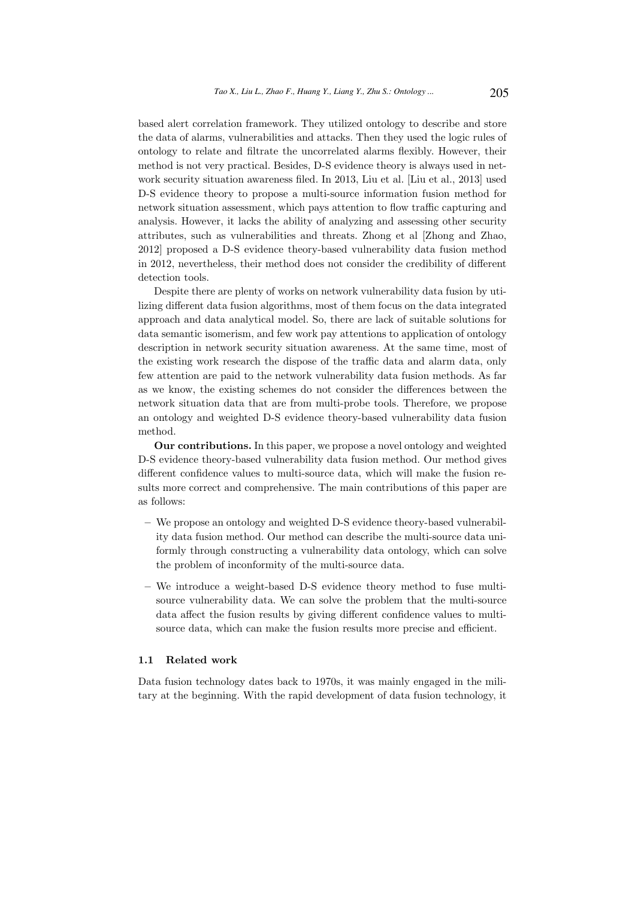based alert correlation framework. They utilized ontology to describe and store the data of alarms, vulnerabilities and attacks. Then they used the logic rules of ontology to relate and filtrate the uncorrelated alarms flexibly. However, their method is not very practical. Besides, D-S evidence theory is always used in network security situation awareness filed. In 2013, Liu et al. [Liu et al., 2013] used D-S evidence theory to propose a multi-source information fusion method for network situation assessment, which pays attention to flow traffic capturing and analysis. However, it lacks the ability of analyzing and assessing other security attributes, such as vulnerabilities and threats. Zhong et al [Zhong and Zhao, 2012] proposed a D-S evidence theory-based vulnerability data fusion method in 2012, nevertheless, their method does not consider the credibility of different detection tools.

Despite there are plenty of works on network vulnerability data fusion by utilizing different data fusion algorithms, most of them focus on the data integrated approach and data analytical model. So, there are lack of suitable solutions for data semantic isomerism, and few work pay attentions to application of ontology description in network security situation awareness. At the same time, most of the existing work research the dispose of the traffic data and alarm data, only few attention are paid to the network vulnerability data fusion methods. As far as we know, the existing schemes do not consider the differences between the network situation data that are from multi-probe tools. Therefore, we propose an ontology and weighted D-S evidence theory-based vulnerability data fusion method.

Our contributions. In this paper, we propose a novel ontology and weighted D-S evidence theory-based vulnerability data fusion method. Our method gives different confidence values to multi-source data, which will make the fusion results more correct and comprehensive. The main contributions of this paper are as follows:

- We propose an ontology and weighted D-S evidence theory-based vulnerability data fusion method. Our method can describe the multi-source data uniformly through constructing a vulnerability data ontology, which can solve the problem of inconformity of the multi-source data.
- We introduce a weight-based D-S evidence theory method to fuse multisource vulnerability data. We can solve the problem that the multi-source data affect the fusion results by giving different confidence values to multisource data, which can make the fusion results more precise and efficient.

#### 1.1 Related work

Data fusion technology dates back to 1970s, it was mainly engaged in the military at the beginning. With the rapid development of data fusion technology, it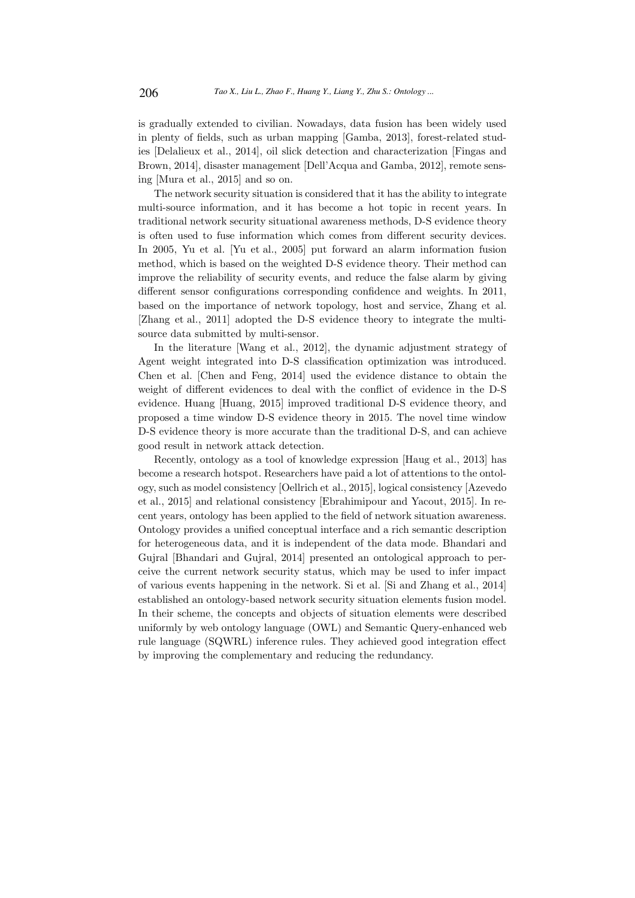is gradually extended to civilian. Nowadays, data fusion has been widely used in plenty of fields, such as urban mapping [Gamba, 2013], forest-related studies [Delalieux et al., 2014], oil slick detection and characterization [Fingas and Brown, 2014], disaster management [Dell'Acqua and Gamba, 2012], remote sensing [Mura et al., 2015] and so on.

The network security situation is considered that it has the ability to integrate multi-source information, and it has become a hot topic in recent years. In traditional network security situational awareness methods, D-S evidence theory is often used to fuse information which comes from different security devices. In 2005, Yu et al. [Yu et al., 2005] put forward an alarm information fusion method, which is based on the weighted D-S evidence theory. Their method can improve the reliability of security events, and reduce the false alarm by giving different sensor configurations corresponding confidence and weights. In 2011, based on the importance of network topology, host and service, Zhang et al. [Zhang et al., 2011] adopted the D-S evidence theory to integrate the multisource data submitted by multi-sensor.

In the literature [Wang et al., 2012], the dynamic adjustment strategy of Agent weight integrated into D-S classification optimization was introduced. Chen et al. [Chen and Feng, 2014] used the evidence distance to obtain the weight of different evidences to deal with the conflict of evidence in the D-S evidence. Huang [Huang, 2015] improved traditional D-S evidence theory, and proposed a time window D-S evidence theory in 2015. The novel time window D-S evidence theory is more accurate than the traditional D-S, and can achieve good result in network attack detection.

Recently, ontology as a tool of knowledge expression [Haug et al., 2013] has become a research hotspot. Researchers have paid a lot of attentions to the ontology, such as model consistency [Oellrich et al., 2015], logical consistency [Azevedo et al., 2015] and relational consistency [Ebrahimipour and Yacout, 2015]. In recent years, ontology has been applied to the field of network situation awareness. Ontology provides a unified conceptual interface and a rich semantic description for heterogeneous data, and it is independent of the data mode. Bhandari and Gujral [Bhandari and Gujral, 2014] presented an ontological approach to perceive the current network security status, which may be used to infer impact of various events happening in the network. Si et al. [Si and Zhang et al., 2014] established an ontology-based network security situation elements fusion model. In their scheme, the concepts and objects of situation elements were described uniformly by web ontology language (OWL) and Semantic Query-enhanced web rule language (SQWRL) inference rules. They achieved good integration effect by improving the complementary and reducing the redundancy.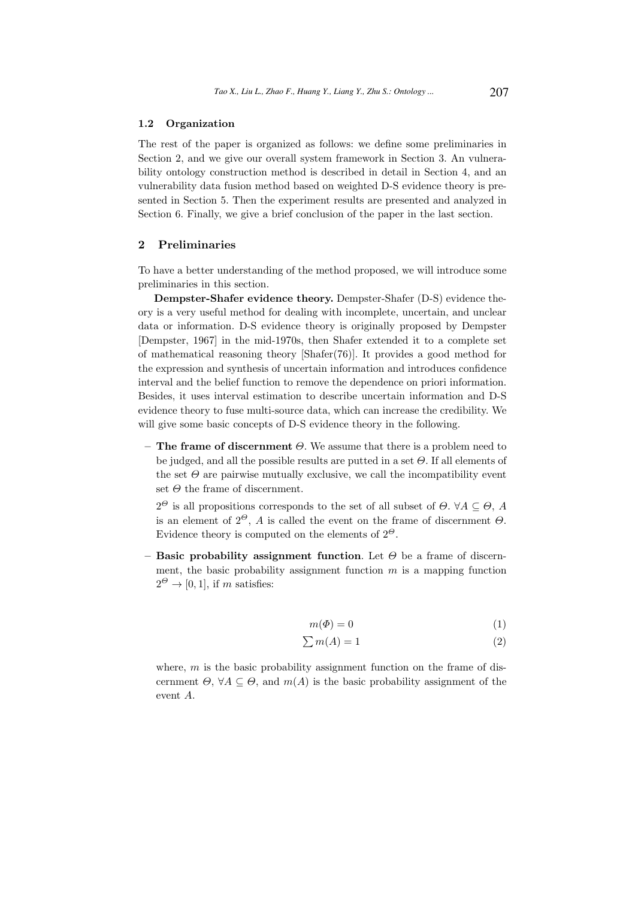# 1.2 Organization

The rest of the paper is organized as follows: we define some preliminaries in Section 2, and we give our overall system framework in Section 3. An vulnerability ontology construction method is described in detail in Section 4, and an vulnerability data fusion method based on weighted D-S evidence theory is presented in Section 5. Then the experiment results are presented and analyzed in Section 6. Finally, we give a brief conclusion of the paper in the last section.

### 2 Preliminaries

To have a better understanding of the method proposed, we will introduce some preliminaries in this section.

Dempster-Shafer evidence theory. Dempster-Shafer (D-S) evidence theory is a very useful method for dealing with incomplete, uncertain, and unclear data or information. D-S evidence theory is originally proposed by Dempster [Dempster, 1967] in the mid-1970s, then Shafer extended it to a complete set of mathematical reasoning theory [Shafer(76)]. It provides a good method for the expression and synthesis of uncertain information and introduces confidence interval and the belief function to remove the dependence on priori information. Besides, it uses interval estimation to describe uncertain information and D-S evidence theory to fuse multi-source data, which can increase the credibility. We will give some basic concepts of D-S evidence theory in the following.

– The frame of discernment  $\Theta$ . We assume that there is a problem need to be judged, and all the possible results are putted in a set  $\Theta$ . If all elements of the set  $\Theta$  are pairwise mutually exclusive, we call the incompatibility event set  $\Theta$  the frame of discernment.

 $2^{\Theta}$  is all propositions corresponds to the set of all subset of  $\Theta$ .  $\forall A \subseteq \Theta$ , A is an element of  $2^{\Theta}$ , A is called the event on the frame of discernment  $\Theta$ . Evidence theory is computed on the elements of  $2^{\Theta}$ .

– Basic probability assignment function. Let  $\Theta$  be a frame of discernment, the basic probability assignment function  $m$  is a mapping function  $2^{\Theta} \rightarrow [0, 1]$ , if m satisfies:

$$
m(\Phi) = 0 \tag{1}
$$

$$
\sum m(A) = 1\tag{2}
$$

where,  $m$  is the basic probability assignment function on the frame of discernment  $\Theta$ ,  $\forall A \subseteq \Theta$ , and  $m(A)$  is the basic probability assignment of the event A.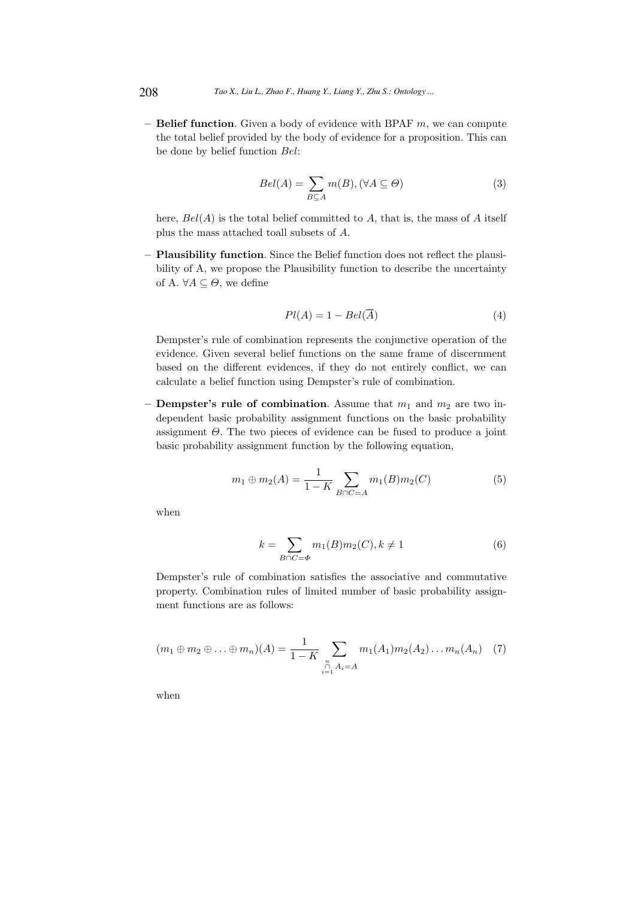– **Belief function**. Given a body of evidence with BPAF  $m$ , we can compute the total belief provided by the body of evidence for a proposition. This can be done by belief function Bel:

$$
Bel(A) = \sum_{B \subseteq A} m(B), (\forall A \subseteq \Theta)
$$
 (3)

here,  $Bel(A)$  is the total belief committed to A, that is, the mass of A itself plus the mass attached toall subsets of A.

– Plausibility function. Since the Belief function does not reflect the plausibility of A, we propose the Plausibility function to describe the uncertainty of A.  $\forall A \subseteq \Theta$ , we define

$$
Pl(A) = 1 - Bel(\overline{A})
$$
\n<sup>(4)</sup>

Dempster's rule of combination represents the conjunctive operation of the evidence. Given several belief functions on the same frame of discernment based on the different evidences, if they do not entirely conflict, we can calculate a belief function using Dempster's rule of combination.

– **Dempster's rule of combination**. Assume that  $m_1$  and  $m_2$  are two independent basic probability assignment functions on the basic probability assignment  $\Theta$ . The two pieces of evidence can be fused to produce a joint basic probability assignment function by the following equation,

$$
m_1 \oplus m_2(A) = \frac{1}{1 - K} \sum_{B \cap C = A} m_1(B) m_2(C)
$$
 (5)

when

$$
k = \sum_{B \cap C = \Phi} m_1(B)m_2(C), k \neq 1
$$
\n<sup>(6)</sup>

Dempster's rule of combination satisfies the associative and commutative property. Combination rules of limited number of basic probability assignment functions are as follows:

$$
(m_1 \oplus m_2 \oplus \ldots \oplus m_n)(A) = \frac{1}{1 - K} \sum_{\substack{n \\ i = 1 \\ n \neq i}} m_1(A_1) m_2(A_2) \ldots m_n(A_n) \quad (7)
$$

when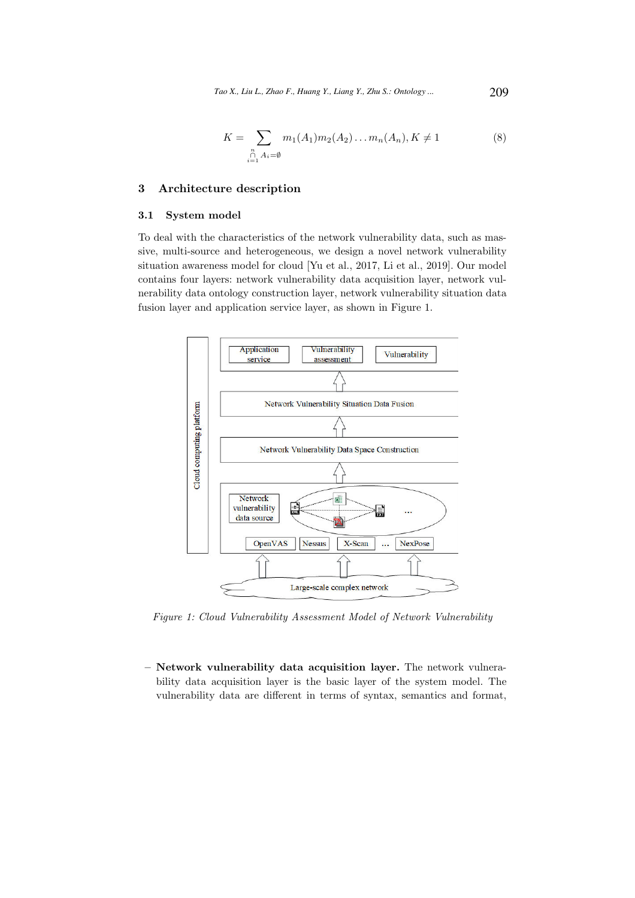$$
K = \sum_{\substack{n \\ i=1}} m_1(A_1) m_2(A_2) \dots m_n(A_n), K \neq 1
$$
 (8)

## 3 Architecture description

## 3.1 System model

To deal with the characteristics of the network vulnerability data, such as massive, multi-source and heterogeneous, we design a novel network vulnerability situation awareness model for cloud [Yu et al., 2017, Li et al., 2019]. Our model contains four layers: network vulnerability data acquisition layer, network vulnerability data ontology construction layer, network vulnerability situation data fusion layer and application service layer, as shown in Figure 1.



Figure 1: Cloud Vulnerability Assessment Model of Network Vulnerability

– Network vulnerability data acquisition layer. The network vulnerability data acquisition layer is the basic layer of the system model. The vulnerability data are different in terms of syntax, semantics and format,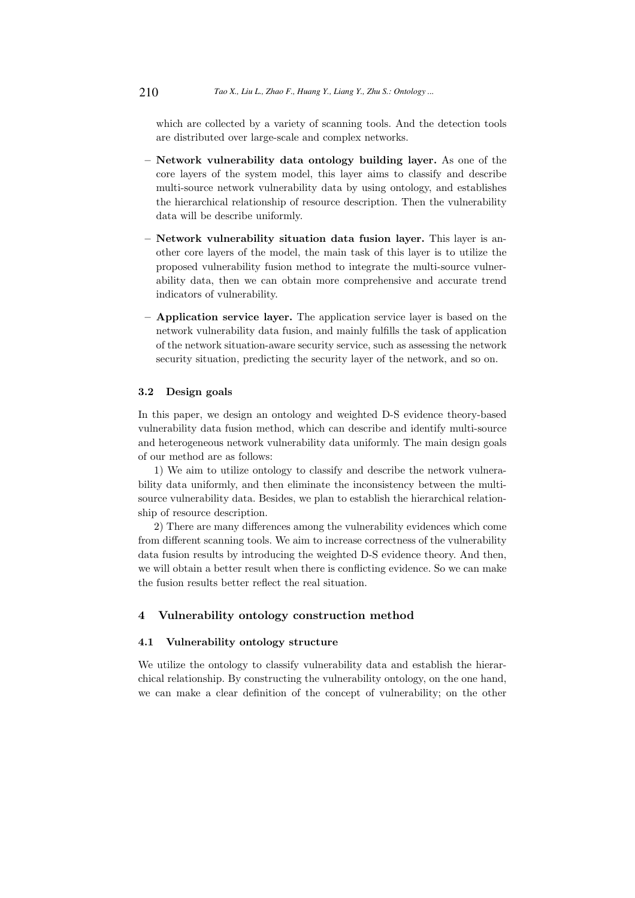which are collected by a variety of scanning tools. And the detection tools are distributed over large-scale and complex networks.

- Network vulnerability data ontology building layer. As one of the core layers of the system model, this layer aims to classify and describe multi-source network vulnerability data by using ontology, and establishes the hierarchical relationship of resource description. Then the vulnerability data will be describe uniformly.
- Network vulnerability situation data fusion layer. This layer is another core layers of the model, the main task of this layer is to utilize the proposed vulnerability fusion method to integrate the multi-source vulnerability data, then we can obtain more comprehensive and accurate trend indicators of vulnerability.
- Application service layer. The application service layer is based on the network vulnerability data fusion, and mainly fulfills the task of application of the network situation-aware security service, such as assessing the network security situation, predicting the security layer of the network, and so on.

#### 3.2 Design goals

In this paper, we design an ontology and weighted D-S evidence theory-based vulnerability data fusion method, which can describe and identify multi-source and heterogeneous network vulnerability data uniformly. The main design goals of our method are as follows:

1) We aim to utilize ontology to classify and describe the network vulnerability data uniformly, and then eliminate the inconsistency between the multisource vulnerability data. Besides, we plan to establish the hierarchical relationship of resource description.

2) There are many differences among the vulnerability evidences which come from different scanning tools. We aim to increase correctness of the vulnerability data fusion results by introducing the weighted D-S evidence theory. And then, we will obtain a better result when there is conflicting evidence. So we can make the fusion results better reflect the real situation.

# 4 Vulnerability ontology construction method

#### 4.1 Vulnerability ontology structure

We utilize the ontology to classify vulnerability data and establish the hierarchical relationship. By constructing the vulnerability ontology, on the one hand, we can make a clear definition of the concept of vulnerability; on the other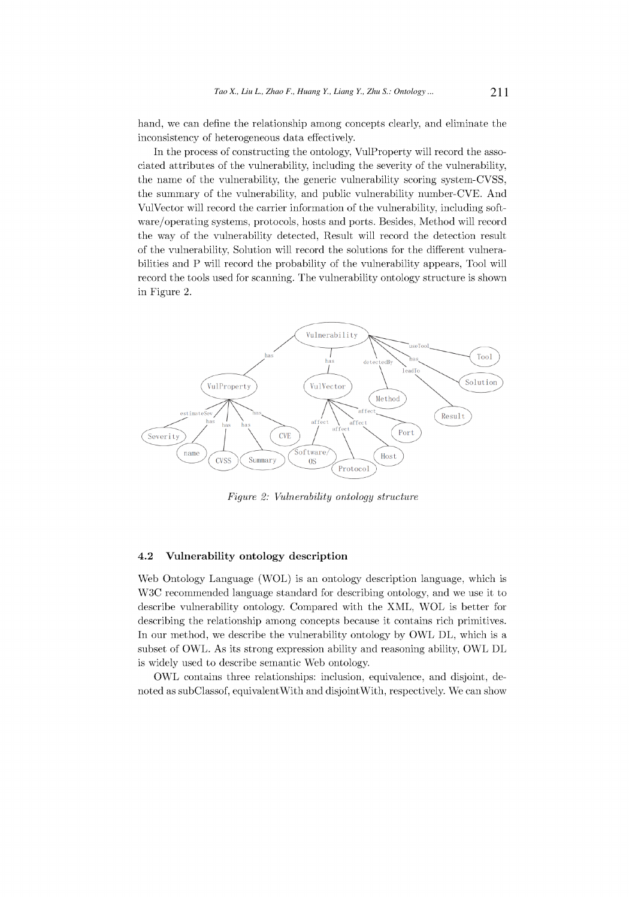hand, we can define the relationship among concepts clearly, and eliminate the inconsistency of heterogeneous data effectively.

In the process of constructing the ontology, VulProperty will record the associated attributes of the vulnerability, including the severity of the vulnerability, the name of the vulnerability, the generic vulnerability scoring system-CVSS, the summary of the vulnerability, and public vulnerability number-CVE. And VulVector will record the carrier information of the vulnerability, including software/operating systems, protocols, hosts and ports. Besides, Method will record the way of the vulnerability detected, Result will record the detection result of the vulnerability, Solution will record the solutions for the different vulnerabilities and P will record the probability of the vulnerability appears, Tool will record the tools used for scanning. The vulnerability ontology structure is shown in Figure 2.



Figure 2: Vulnerability ontology structure

#### 4.2 Vulnerability ontology description

Web Ontology Language (WOL) is an ontology description language, which is W3C recommended language standard for describing ontology, and we use it to describe vulnerability ontology. Compared with the XML, WOL is better for describing the relationship among concepts because it contains rich primitives. In our method, we describe the vulnerability ontology by OWL DL, which is a subset of OWL. As its strong expression ability and reasoning ability, OWL DL is widely used to describe semantic Web ontology.

OWL contains three relationships: inclusion, equivalence, and disjoint, denoted as subClassof, equivalent With and disjoint With, respectively. We can show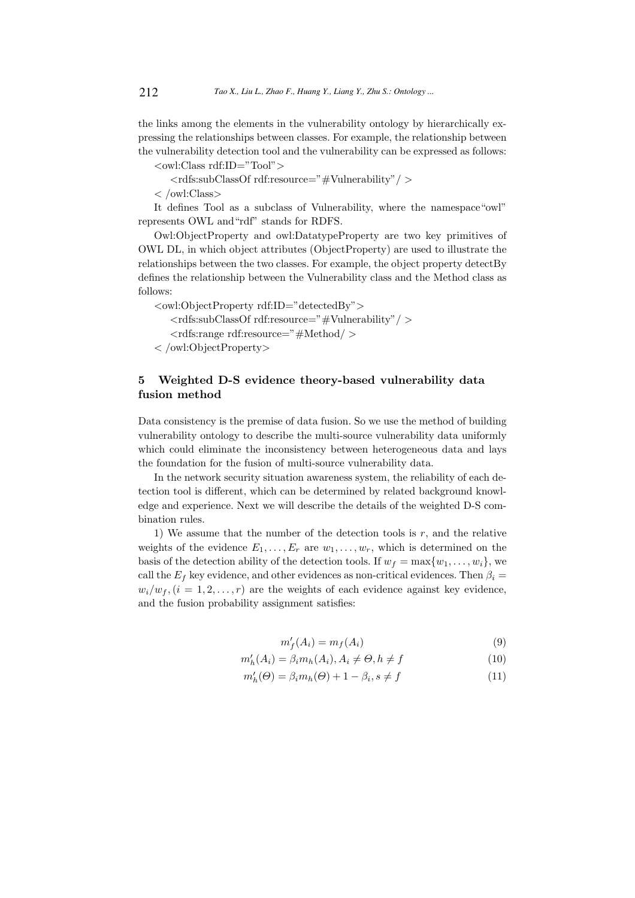the links among the elements in the vulnerability ontology by hierarchically expressing the relationships between classes. For example, the relationship between the vulnerability detection tool and the vulnerability can be expressed as follows:

<owl:Class rdf:ID="Tool">

<rdfs:subClassOf rdf:resource="#Vulnerability"/ >

< /owl:Class>

It defines Tool as a subclass of Vulnerability, where the namespace"owl" represents OWL and"rdf" stands for RDFS.

Owl:ObjectProperty and owl:DatatypeProperty are two key primitives of OWL DL, in which object attributes (ObjectProperty) are used to illustrate the relationships between the two classes. For example, the object property detectBy defines the relationship between the Vulnerability class and the Method class as follows:

<owl:ObjectProperty rdf:ID="detectedBy">

<rdfs:subClassOf rdf:resource="#Vulnerability"/ >

<rdfs:range rdf:resource="#Method/ >

< /owl:ObjectProperty>

# 5 Weighted D-S evidence theory-based vulnerability data fusion method

Data consistency is the premise of data fusion. So we use the method of building vulnerability ontology to describe the multi-source vulnerability data uniformly which could eliminate the inconsistency between heterogeneous data and lays the foundation for the fusion of multi-source vulnerability data.

In the network security situation awareness system, the reliability of each detection tool is different, which can be determined by related background knowledge and experience. Next we will describe the details of the weighted D-S combination rules.

1) We assume that the number of the detection tools is  $r$ , and the relative weights of the evidence  $E_1, \ldots, E_r$  are  $w_1, \ldots, w_r$ , which is determined on the basis of the detection ability of the detection tools. If  $w_f = \max\{w_1, \ldots, w_i\}$ , we call the  $E_f$  key evidence, and other evidences as non-critical evidences. Then  $\beta_i =$  $w_i/w_f$ ,  $(i = 1, 2, \ldots, r)$  are the weights of each evidence against key evidence, and the fusion probability assignment satisfies:

$$
m_f'(A_i) = m_f(A_i) \tag{9}
$$

$$
m_h'(A_i) = \beta_i m_h(A_i), A_i \neq \Theta, h \neq f \tag{10}
$$

$$
m_h'(\Theta) = \beta_i m_h(\Theta) + 1 - \beta_i, s \neq f \tag{11}
$$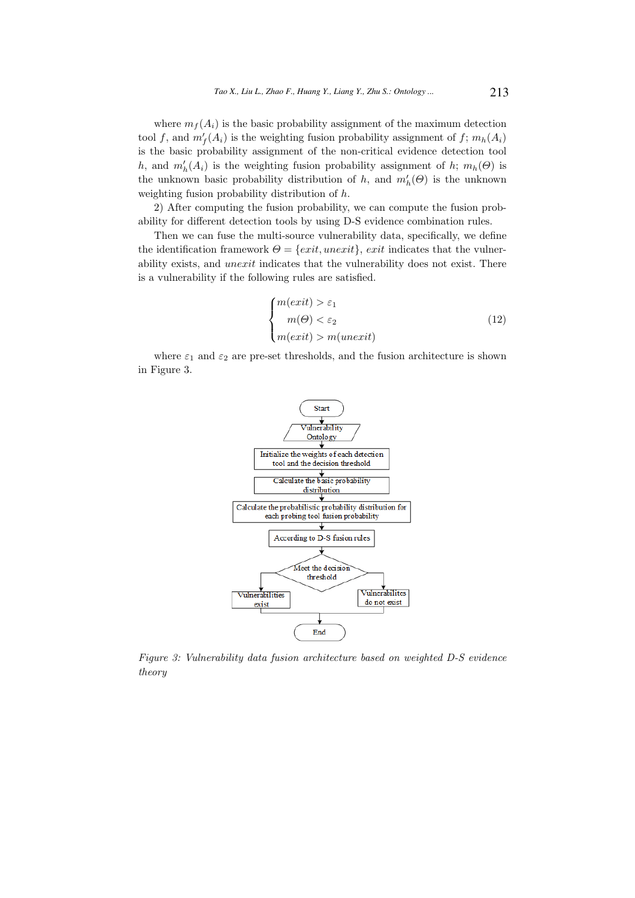where  $m_f(A_i)$  is the basic probability assignment of the maximum detection tool f, and  $m'_{f}(A_i)$  is the weighting fusion probability assignment of f;  $m_h(A_i)$ is the basic probability assignment of the non-critical evidence detection tool h, and  $m'_h(A_i)$  is the weighting fusion probability assignment of h;  $m_h(\Theta)$  is the unknown basic probability distribution of h, and  $m'_{h}(\Theta)$  is the unknown weighting fusion probability distribution of h.

2) After computing the fusion probability, we can compute the fusion probability for different detection tools by using D-S evidence combination rules.

Then we can fuse the multi-source vulnerability data, specifically, we define the identification framework  $\Theta = \{exit, unexit\}$ , exit indicates that the vulnerability exists, and unexit indicates that the vulnerability does not exist. There is a vulnerability if the following rules are satisfied.

$$
\begin{cases}\nm(exit) > \varepsilon_1 \\
m(\Theta) < \varepsilon_2 \\
m(exit) > m(unexit)\n\end{cases} \tag{12}
$$

where  $\varepsilon_1$  and  $\varepsilon_2$  are pre-set thresholds, and the fusion architecture is shown in Figure 3.



Figure 3: Vulnerability data fusion architecture based on weighted D-S evidence theory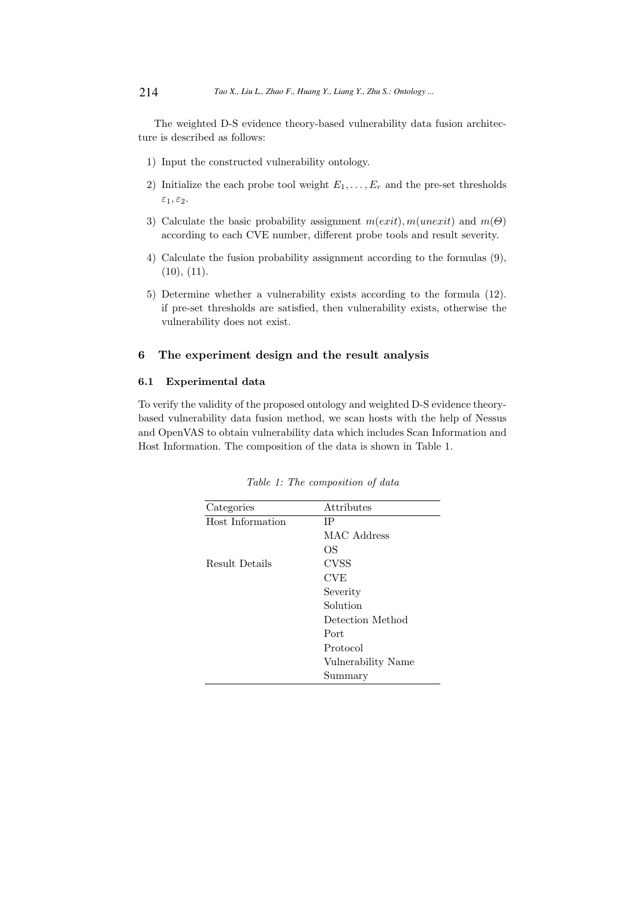The weighted D-S evidence theory-based vulnerability data fusion architecture is described as follows:

- 1) Input the constructed vulnerability ontology.
- 2) Initialize the each probe tool weight  $E_1, \ldots, E_r$  and the pre-set thresholds  $\varepsilon_1, \varepsilon_2.$
- 3) Calculate the basic probability assignment  $m(exit)$ ,  $m(unexit)$  and  $m(\Theta)$ according to each CVE number, different probe tools and result severity.
- 4) Calculate the fusion probability assignment according to the formulas (9),  $(10), (11).$
- 5) Determine whether a vulnerability exists according to the formula (12). if pre-set thresholds are satisfied, then vulnerability exists, otherwise the vulnerability does not exist.

# 6 The experiment design and the result analysis

### 6.1 Experimental data

To verify the validity of the proposed ontology and weighted D-S evidence theorybased vulnerability data fusion method, we scan hosts with the help of Nessus and OpenVAS to obtain vulnerability data which includes Scan Information and Host Information. The composition of the data is shown in Table 1.

| Categories       | Attributes         |
|------------------|--------------------|
| Host Information | ΙP                 |
|                  | MAC Address        |
|                  | ОS                 |
| Result Details   | CVSS               |
|                  | <b>CVE</b>         |
|                  | Severity           |
|                  | Solution           |
|                  | Detection Method   |
|                  | Port               |
|                  | Protocol           |
|                  | Vulnerability Name |
|                  | Summary            |

Table 1: The composition of data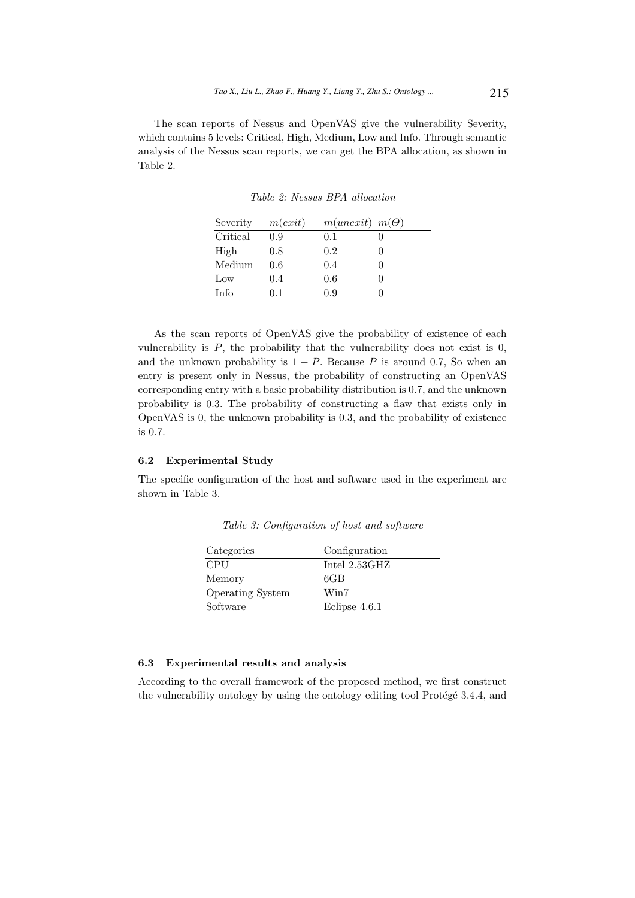The scan reports of Nessus and OpenVAS give the vulnerability Severity, which contains 5 levels: Critical, High, Medium, Low and Info. Through semantic analysis of the Nessus scan reports, we can get the BPA allocation, as shown in Table 2.

| Severity | m(exit) | $m(unexit)$ $m(\Theta)$ |  |
|----------|---------|-------------------------|--|
| Critical | 0.9     | 0.1                     |  |
| High     | 0.8     | 0.2                     |  |
| Medium   | 0.6     | 0.4                     |  |
| Low      | 0.4     | 0.6                     |  |
| Info     | 0.1     | 0.9                     |  |

Table 2: Nessus BPA allocation

As the scan reports of OpenVAS give the probability of existence of each vulnerability is  $P$ , the probability that the vulnerability does not exist is 0, and the unknown probability is  $1 - P$ . Because P is around 0.7, So when an entry is present only in Nessus, the probability of constructing an OpenVAS corresponding entry with a basic probability distribution is 0.7, and the unknown probability is 0.3. The probability of constructing a flaw that exists only in OpenVAS is 0, the unknown probability is 0.3, and the probability of existence is 0.7.

## 6.2 Experimental Study

The specific configuration of the host and software used in the experiment are shown in Table 3.

| Categories              | Configuration          |
|-------------------------|------------------------|
| <b>CPU</b>              | Intel $2.53\text{GHz}$ |
| Memory                  | 6GB                    |
| <b>Operating System</b> | Win7                   |
| Software                | Eclipse 4.6.1          |

Table 3: Configuration of host and software

# 6.3 Experimental results and analysis

According to the overall framework of the proposed method, we first construct the vulnerability ontology by using the ontology editing tool Protégé 3.4.4, and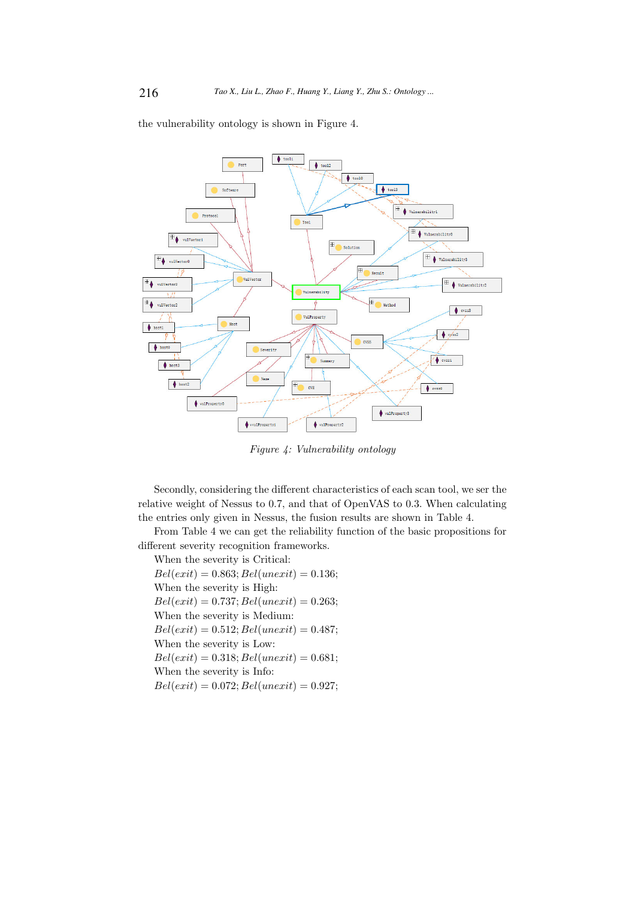the vulnerability ontology is shown in Figure 4.



Figure 4: Vulnerability ontology

Secondly, considering the different characteristics of each scan tool, we ser the relative weight of Nessus to 0.7, and that of OpenVAS to 0.3. When calculating the entries only given in Nessus, the fusion results are shown in Table 4.

From Table 4 we can get the reliability function of the basic propositions for different severity recognition frameworks.

When the severity is Critical:  $Bel(exit) = 0.863; Bel(unexit) = 0.136;$ When the severity is High:  $Bel(exit) = 0.737; Bel(unexit) = 0.263;$ When the severity is Medium:  $Bel(exit) = 0.512; Bel(unexit) = 0.487;$ When the severity is Low:  $Bel(exit) = 0.318; Bel(unexit) = 0.681;$ When the severity is Info:  $Bel(exit) = 0.072; Bel(unexit) = 0.927;$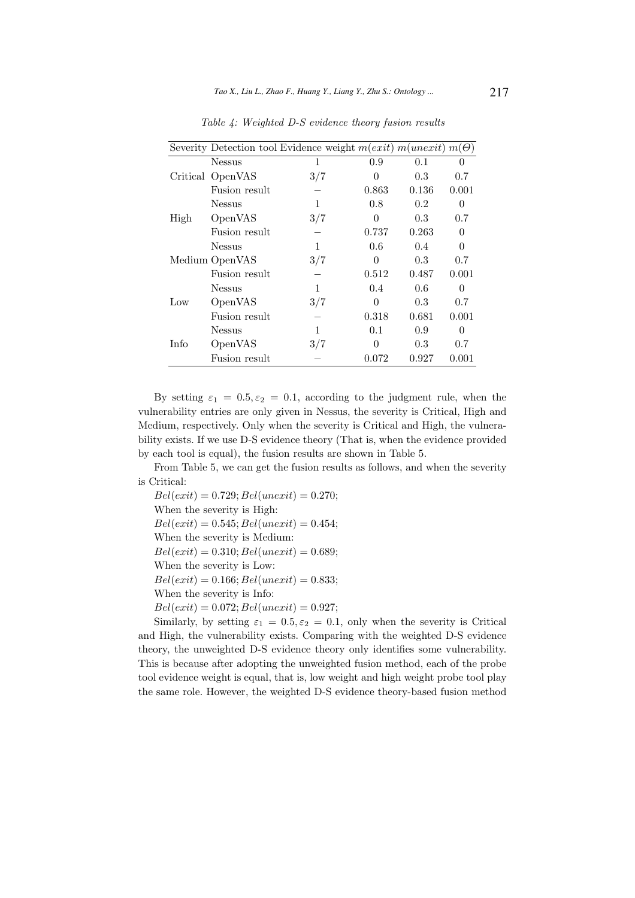|      |                  | Severity Detection tool Evidence weight $m(exit)$ $m(unexit)$ $m(\Theta)$ |          |       |          |
|------|------------------|---------------------------------------------------------------------------|----------|-------|----------|
|      | <b>Nessus</b>    | 1                                                                         | 0.9      | 0.1   | $\theta$ |
|      | Critical OpenVAS | 3/7                                                                       | 0        | 0.3   | 0.7      |
|      | Fusion result    |                                                                           | 0.863    | 0.136 | 0.001    |
| High | <b>Nessus</b>    | 1                                                                         | 0.8      | 0.2   | $\Omega$ |
|      | OpenVAS          | 3/7                                                                       | $\theta$ | 0.3   | 0.7      |
|      | Fusion result    |                                                                           | 0.737    | 0.263 | $\Omega$ |
|      | <b>Nessus</b>    | 1                                                                         | 0.6      | 0.4   | 0        |
|      | Medium OpenVAS   | 3/7                                                                       | 0        | 0.3   | 0.7      |
|      | Fusion result    |                                                                           | 0.512    | 0.487 | 0.001    |
| Low  | <b>Nessus</b>    | 1                                                                         | 0.4      | 0.6   | 0        |
|      | OpenVAS          | 3/7                                                                       | 0        | 0.3   | 0.7      |
|      | Fusion result    |                                                                           | 0.318    | 0.681 | 0.001    |
| Info | <b>Nessus</b>    | 1                                                                         | 0.1      | 0.9   | 0        |
|      | OpenVAS          | 3/7                                                                       | ∩        | 0.3   | 0.7      |
|      | Fusion result    |                                                                           | 0.072    | 0.927 | 0.001    |

Table 4: Weighted D-S evidence theory fusion results

By setting  $\varepsilon_1 = 0.5, \varepsilon_2 = 0.1$ , according to the judgment rule, when the vulnerability entries are only given in Nessus, the severity is Critical, High and Medium, respectively. Only when the severity is Critical and High, the vulnerability exists. If we use D-S evidence theory (That is, when the evidence provided by each tool is equal), the fusion results are shown in Table 5.

From Table 5, we can get the fusion results as follows, and when the severity is Critical:

 $Bel(exit) = 0.729; Bel(unexit) = 0.270;$ When the severity is High:  $Bel(exit) = 0.545; Bel(unexit) = 0.454;$ When the severity is Medium:  $Bel(exit) = 0.310; Bel(unexit) = 0.689;$ When the severity is Low:  $Bel(exit) = 0.166; Bel(unexit) = 0.833;$ When the severity is Info:  $Bel(exit) = 0.072; Bel(unexit) = 0.927;$ 

Similarly, by setting  $\varepsilon_1 = 0.5, \varepsilon_2 = 0.1$ , only when the severity is Critical and High, the vulnerability exists. Comparing with the weighted D-S evidence theory, the unweighted D-S evidence theory only identifies some vulnerability. This is because after adopting the unweighted fusion method, each of the probe tool evidence weight is equal, that is, low weight and high weight probe tool play the same role. However, the weighted D-S evidence theory-based fusion method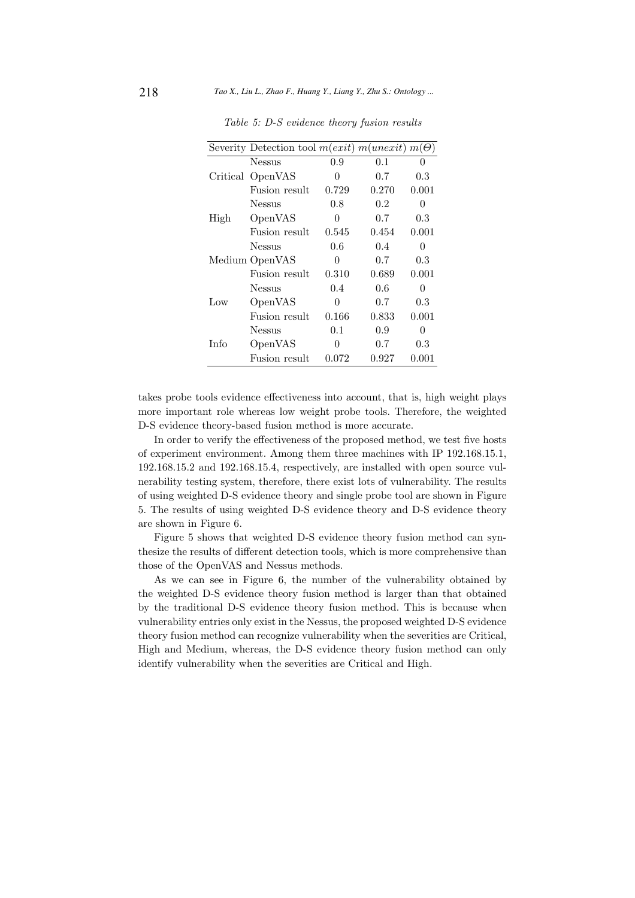|      | Severity Detection tool $m(exit)$ $m(unexit)$ $m(\Theta)$ |       |         |                  |
|------|-----------------------------------------------------------|-------|---------|------------------|
|      | <b>Nessus</b>                                             | 0.9   | 0.1     | $^{(1)}$         |
|      | Critical OpenVAS                                          | 0     | 0.7     | 0.3              |
|      | Fusion result                                             | 0.729 | 0.270   | 0.001            |
| High | Nessus                                                    | 0.8   | $0.2\,$ | $^{(1)}$         |
|      | OpenVAS                                                   | 0     | 0.7     | 0.3              |
|      | Fusion result                                             | 0.545 | 0.454   | 0.001            |
|      | Nessus                                                    | 0.6   | 0.4     | $\left( \right)$ |
|      | Medium OpenVAS                                            | 0     | 0.7     | 0.3              |
|      | Fusion result                                             | 0.310 | 0.689   | 0.001            |
| Low  | Nessus                                                    | 0.4   | 0.6     | $\Omega$         |
|      | OpenVAS                                                   | 0     | 0.7     | 0.3              |
|      | Fusion result                                             | 0.166 | 0.833   | 0.001            |
| Info | Nessus                                                    | 0.1   | 0.9     | $\Omega$         |
|      | OpenVAS                                                   | 0     | 0.7     | $\rm 0.3$        |
|      | Fusion result                                             | 0.072 | 0.927   | 0.001            |

Table 5: D-S evidence theory fusion results

takes probe tools evidence effectiveness into account, that is, high weight plays more important role whereas low weight probe tools. Therefore, the weighted D-S evidence theory-based fusion method is more accurate.

In order to verify the effectiveness of the proposed method, we test five hosts of experiment environment. Among them three machines with IP 192.168.15.1, 192.168.15.2 and 192.168.15.4, respectively, are installed with open source vulnerability testing system, therefore, there exist lots of vulnerability. The results of using weighted D-S evidence theory and single probe tool are shown in Figure 5. The results of using weighted D-S evidence theory and D-S evidence theory are shown in Figure 6.

Figure 5 shows that weighted D-S evidence theory fusion method can synthesize the results of different detection tools, which is more comprehensive than those of the OpenVAS and Nessus methods.

As we can see in Figure 6, the number of the vulnerability obtained by the weighted D-S evidence theory fusion method is larger than that obtained by the traditional D-S evidence theory fusion method. This is because when vulnerability entries only exist in the Nessus, the proposed weighted D-S evidence theory fusion method can recognize vulnerability when the severities are Critical, High and Medium, whereas, the D-S evidence theory fusion method can only identify vulnerability when the severities are Critical and High.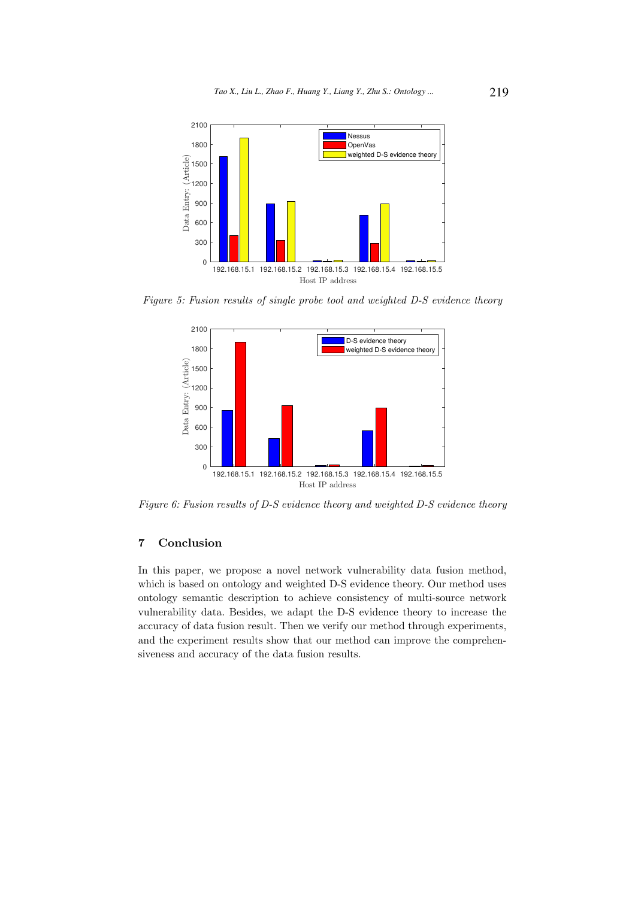

Figure 5: Fusion results of single probe tool and weighted D-S evidence theory



Figure 6: Fusion results of D-S evidence theory and weighted D-S evidence theory

# 7 Conclusion

In this paper, we propose a novel network vulnerability data fusion method, which is based on ontology and weighted D-S evidence theory. Our method uses ontology semantic description to achieve consistency of multi-source network vulnerability data. Besides, we adapt the D-S evidence theory to increase the accuracy of data fusion result. Then we verify our method through experiments, and the experiment results show that our method can improve the comprehensiveness and accuracy of the data fusion results.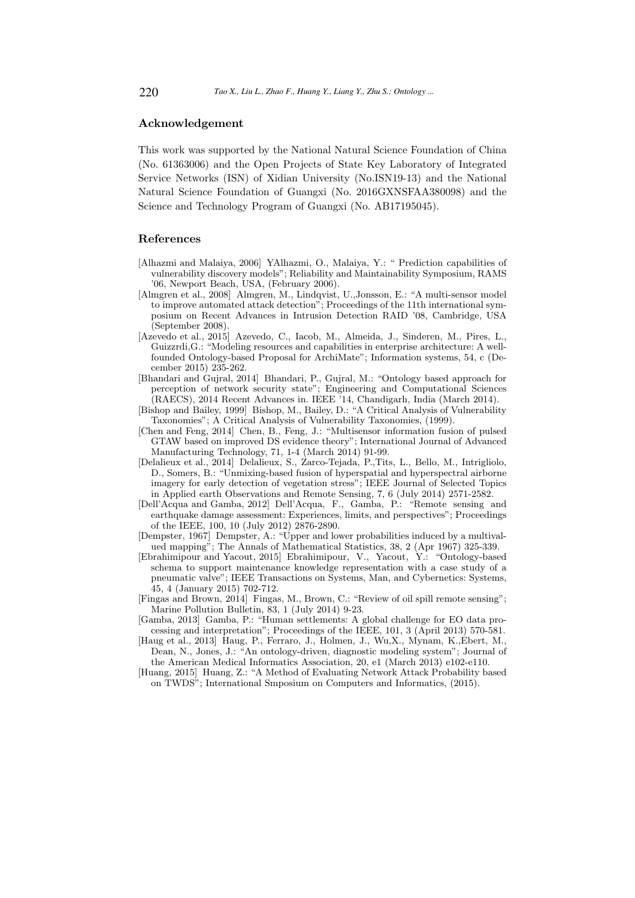## Acknowledgement

This work was supported by the National Natural Science Foundation of China (No. 61363006) and the Open Projects of State Key Laboratory of Integrated Service Networks (ISN) of Xidian University (No.ISN19-13) and the National Natural Science Foundation of Guangxi (No. 2016GXNSFAA380098) and the Science and Technology Program of Guangxi (No. AB17195045).

#### References

- [Alhazmi and Malaiya, 2006] YAlhazmi, O., Malaiya, Y.: " Prediction capabilities of vulnerability discovery models"; Reliability and Maintainability Symposium, RAMS '06, Newport Beach, USA, (February 2006).
- [Almgren et al., 2008] Almgren, M., Lindqvist, U.,Jonsson, E.: "A multi-sensor model to improve automated attack detection"; Proceedings of the 11th international symposium on Recent Advances in Intrusion Detection RAID '08, Cambridge, USA (September 2008).
- [Azevedo et al., 2015] Azevedo, C., Iacob, M., Almeida, J., Sinderen, M., Pires, L., Guizzrdi,G.: "Modeling resources and capabilities in enterprise architecture: A wellfounded Ontology-based Proposal for ArchiMate"; Information systems, 54, c (December 2015) 235-262.
- [Bhandari and Gujral, 2014] Bhandari, P., Gujral, M.: "Ontology based approach for perception of network security state"; Engineering and Computational Sciences (RAECS), 2014 Recent Advances in. IEEE '14, Chandigarh, India (March 2014).
- [Bishop and Bailey, 1999] Bishop, M., Bailey, D.: "A Critical Analysis of Vulnerability Taxonomies"; A Critical Analysis of Vulnerability Taxonomies, (1999).
- [Chen and Feng, 2014] Chen, B., Feng, J.: "Multisensor information fusion of pulsed GTAW based on improved DS evidence theory"; International Journal of Advanced Manufacturing Technology, 71, 1-4 (March 2014) 91-99.
- [Delalieux et al., 2014] Delalieux, S., Zarco-Tejada, P.,Tits, L., Bello, M., Intrigliolo, D., Somers, B.: "Unmixing-based fusion of hyperspatial and hyperspectral airborne imagery for early detection of vegetation stress"; IEEE Journal of Selected Topics in Applied earth Observations and Remote Sensing, 7, 6 (July 2014) 2571-2582.
- [Dell'Acqua and Gamba, 2012] Dell'Acqua, F., Gamba, P.: "Remote sensing and earthquake damage assessment: Experiences, limits, and perspectives"; Proceedings of the IEEE, 100, 10 (July 2012) 2876-2890.
- [Dempster, 1967] Dempster, A.: "Upper and lower probabilities induced by a multivalued mapping"; The Annals of Mathematical Statistics, 38, 2 (Apr 1967) 325-339.
- [Ebrahimipour and Yacout, 2015] Ebrahimipour, V., Yacout, Y.: "Ontology-based schema to support maintenance knowledge representation with a case study of a pneumatic valve"; IEEE Transactions on Systems, Man, and Cybernetics: Systems, 45, 4 (January 2015) 702-712.
- [Fingas and Brown, 2014] Fingas, M., Brown, C.: "Review of oil spill remote sensing"; Marine Pollution Bulletin, 83, 1 (July 2014) 9-23.
- [Gamba, 2013] Gamba, P.: "Human settlements: A global challenge for EO data processing and interpretation"; Proceedings of the IEEE, 101, 3 (April 2013) 570-581.
- [Haug et al., 2013] Haug, P., Ferraro, J., Holmen, J., Wu,X., Mynam, K.,Ebert, M., Dean, N., Jones, J.: "An ontology-driven, diagnostic modeling system"; Journal of the American Medical Informatics Association, 20, e1 (March 2013) e102-e110.
- [Huang, 2015] Huang, Z.: "A Method of Evaluating Network Attack Probability based on TWDS"; International Smposium on Computers and Informatics, (2015).